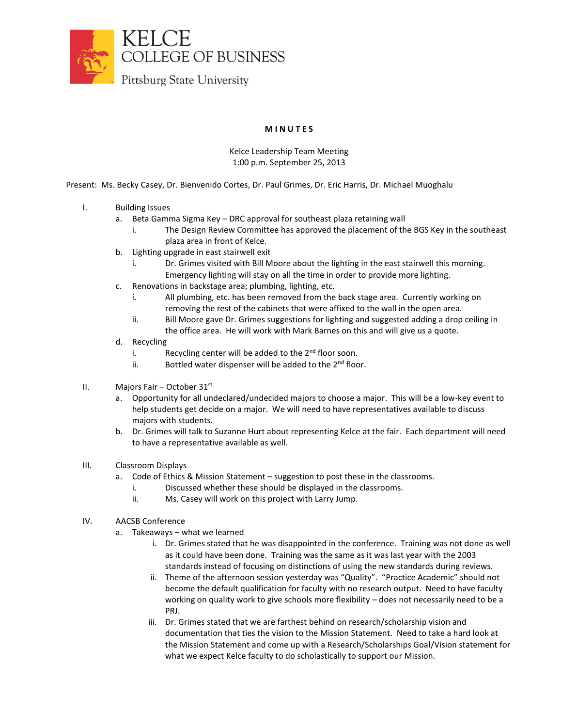

## **M I N U T E S**

## Kelce Leadership Team Meeting 1:00 p.m. September 25, 2013

Present: Ms. Becky Casey, Dr. Bienvenido Cortes, Dr. Paul Grimes, Dr. Eric Harris, Dr. Michael Muoghalu

- I. Building Issues
	- a. Beta Gamma Sigma Key DRC approval for southeast plaza retaining wall
		- i. The Design Review Committee has approved the placement of the BGS Key in the southeast plaza area in front of Kelce.
	- b. Lighting upgrade in east stairwell exit
		- i. Dr. Grimes visited with Bill Moore about the lighting in the east stairwell this morning. Emergency lighting will stay on all the time in order to provide more lighting.
	- c. Renovations in backstage area; plumbing, lighting, etc.
		- i. All plumbing, etc. has been removed from the back stage area. Currently working on removing the rest of the cabinets that were affixed to the wall in the open area.
		- ii. Bill Moore gave Dr. Grimes suggestions for lighting and suggested adding a drop ceiling in the office area. He will work with Mark Barnes on this and will give us a quote.
	- d. Recycling
		- i. Recycling center will be added to the  $2<sup>nd</sup>$  floor soon.
		- ii. Bottled water dispenser will be added to the  $2<sup>nd</sup>$  floor.
- II. Majors Fair October  $31<sup>st</sup>$ 
	- a. Opportunity for all undeclared/undecided majors to choose a major. This will be a low-key event to help students get decide on a major. We will need to have representatives available to discuss majors with students.
	- b. Dr. Grimes will talk to Suzanne Hurt about representing Kelce at the fair. Each department will need to have a representative available as well.
- III. Classroom Displays
	- a. Code of Ethics & Mission Statement suggestion to post these in the classrooms.
		- i. Discussed whether these should be displayed in the classrooms.
		- ii. Ms. Casey will work on this project with Larry Jump.
- IV. AACSB Conference
	- a. Takeaways what we learned
		- i. Dr. Grimes stated that he was disappointed in the conference. Training was not done as well as it could have been done. Training was the same as it was last year with the 2003 standards instead of focusing on distinctions of using the new standards during reviews.
		- ii. Theme of the afternoon session yesterday was "Quality". "Practice Academic" should not become the default qualification for faculty with no research output. Need to have faculty working on quality work to give schools more flexibility – does not necessarily need to be a PRJ.
		- iii. Dr. Grimes stated that we are farthest behind on research/scholarship vision and documentation that ties the vision to the Mission Statement. Need to take a hard look at the Mission Statement and come up with a Research/Scholarships Goal/Vision statement for what we expect Kelce faculty to do scholastically to support our Mission.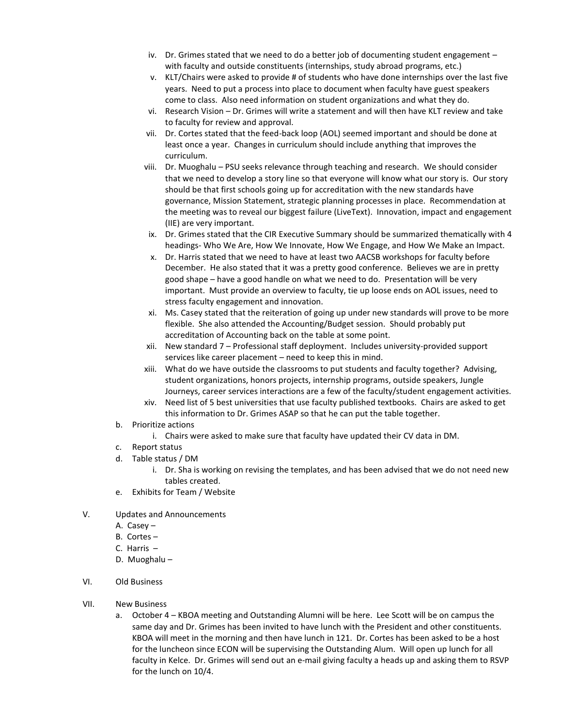- iv. Dr. Grimes stated that we need to do a better job of documenting student engagement with faculty and outside constituents (internships, study abroad programs, etc.)
- v. KLT/Chairs were asked to provide # of students who have done internships over the last five years. Need to put a process into place to document when faculty have guest speakers come to class. Also need information on student organizations and what they do.
- vi. Research Vision Dr. Grimes will write a statement and will then have KLT review and take to faculty for review and approval.
- vii. Dr. Cortes stated that the feed-back loop (AOL) seemed important and should be done at least once a year. Changes in curriculum should include anything that improves the curriculum.
- viii. Dr. Muoghalu PSU seeks relevance through teaching and research. We should consider that we need to develop a story line so that everyone will know what our story is. Our story should be that first schools going up for accreditation with the new standards have governance, Mission Statement, strategic planning processes in place. Recommendation at the meeting was to reveal our biggest failure (LiveText). Innovation, impact and engagement (IIE) are very important.
- ix. Dr. Grimes stated that the CIR Executive Summary should be summarized thematically with 4 headings- Who We Are, How We Innovate, How We Engage, and How We Make an Impact.
- x. Dr. Harris stated that we need to have at least two AACSB workshops for faculty before December. He also stated that it was a pretty good conference. Believes we are in pretty good shape – have a good handle on what we need to do. Presentation will be very important. Must provide an overview to faculty, tie up loose ends on AOL issues, need to stress faculty engagement and innovation.
- xi. Ms. Casey stated that the reiteration of going up under new standards will prove to be more flexible. She also attended the Accounting/Budget session. Should probably put accreditation of Accounting back on the table at some point.
- xii. New standard 7 Professional staff deployment. Includes university-provided support services like career placement – need to keep this in mind.
- xiii. What do we have outside the classrooms to put students and faculty together? Advising, student organizations, honors projects, internship programs, outside speakers, Jungle Journeys, career services interactions are a few of the faculty/student engagement activities.
- xiv. Need list of 5 best universities that use faculty published textbooks. Chairs are asked to get this information to Dr. Grimes ASAP so that he can put the table together.
- b. Prioritize actions
	- i. Chairs were asked to make sure that faculty have updated their CV data in DM.
- c. Report status
- d. Table status / DM
	- i. Dr. Sha is working on revising the templates, and has been advised that we do not need new tables created.
- e. Exhibits for Team / Website
- V. Updates and Announcements
	- A. Casey –
	- B. Cortes –
	- C. Harris –
	- D. Muoghalu –
- VI. Old Business
- VII. New Business
	- a. October 4 KBOA meeting and Outstanding Alumni will be here. Lee Scott will be on campus the same day and Dr. Grimes has been invited to have lunch with the President and other constituents. KBOA will meet in the morning and then have lunch in 121. Dr. Cortes has been asked to be a host for the luncheon since ECON will be supervising the Outstanding Alum. Will open up lunch for all faculty in Kelce. Dr. Grimes will send out an e-mail giving faculty a heads up and asking them to RSVP for the lunch on 10/4.